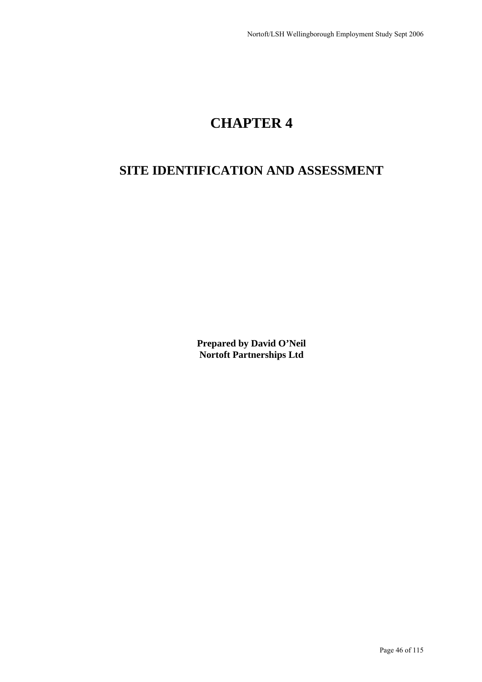# **CHAPTER 4**

## **SITE IDENTIFICATION AND ASSESSMENT**

**Prepared by David O'Neil Nortoft Partnerships Ltd**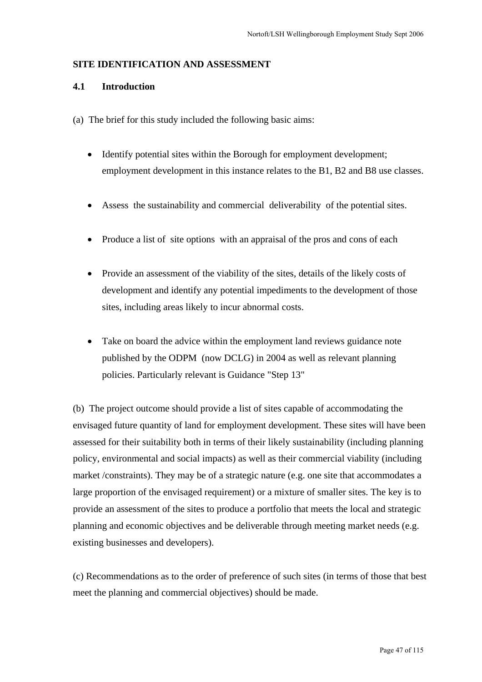#### **SITE IDENTIFICATION AND ASSESSMENT**

## **4.1 Introduction**

- (a) The brief for this study included the following basic aims:
	- Identify potential sites within the Borough for employment development; employment development in this instance relates to the B1, B2 and B8 use classes.
	- Assess the sustainability and commercial deliverability of the potential sites.
	- Produce a list of site options with an appraisal of the pros and cons of each
	- Provide an assessment of the viability of the sites, details of the likely costs of development and identify any potential impediments to the development of those sites, including areas likely to incur abnormal costs.
	- Take on board the advice within the employment land reviews guidance note published by the ODPM (now DCLG) in 2004 as well as relevant planning policies. Particularly relevant is Guidance "Step 13"

(b) The project outcome should provide a list of sites capable of accommodating the envisaged future quantity of land for employment development. These sites will have been assessed for their suitability both in terms of their likely sustainability (including planning policy, environmental and social impacts) as well as their commercial viability (including market /constraints). They may be of a strategic nature (e.g. one site that accommodates a large proportion of the envisaged requirement) or a mixture of smaller sites. The key is to provide an assessment of the sites to produce a portfolio that meets the local and strategic planning and economic objectives and be deliverable through meeting market needs (e.g. existing businesses and developers).

(c) Recommendations as to the order of preference of such sites (in terms of those that best meet the planning and commercial objectives) should be made.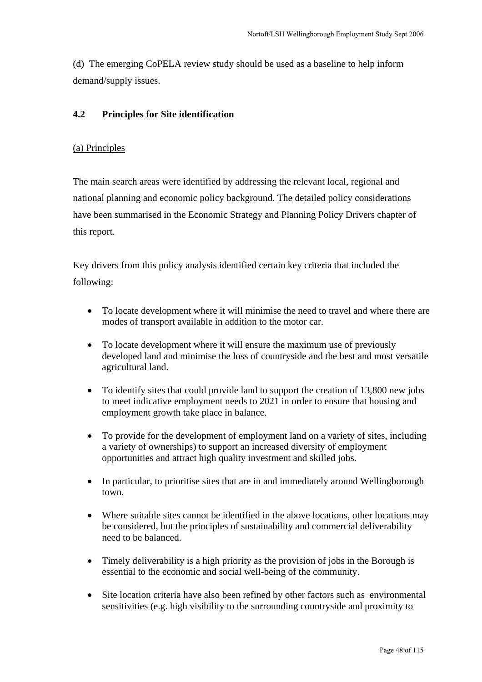(d) The emerging CoPELA review study should be used as a baseline to help inform demand/supply issues.

## **4.2 Principles for Site identification**

## (a) Principles

The main search areas were identified by addressing the relevant local, regional and national planning and economic policy background. The detailed policy considerations have been summarised in the Economic Strategy and Planning Policy Drivers chapter of this report.

Key drivers from this policy analysis identified certain key criteria that included the following:

- To locate development where it will minimise the need to travel and where there are modes of transport available in addition to the motor car.
- To locate development where it will ensure the maximum use of previously developed land and minimise the loss of countryside and the best and most versatile agricultural land.
- To identify sites that could provide land to support the creation of 13,800 new jobs to meet indicative employment needs to 2021 in order to ensure that housing and employment growth take place in balance.
- To provide for the development of employment land on a variety of sites, including a variety of ownerships) to support an increased diversity of employment opportunities and attract high quality investment and skilled jobs.
- In particular, to prioritise sites that are in and immediately around Wellingborough town.
- Where suitable sites cannot be identified in the above locations, other locations may be considered, but the principles of sustainability and commercial deliverability need to be balanced.
- Timely deliverability is a high priority as the provision of jobs in the Borough is essential to the economic and social well-being of the community.
- Site location criteria have also been refined by other factors such as environmental sensitivities (e.g. high visibility to the surrounding countryside and proximity to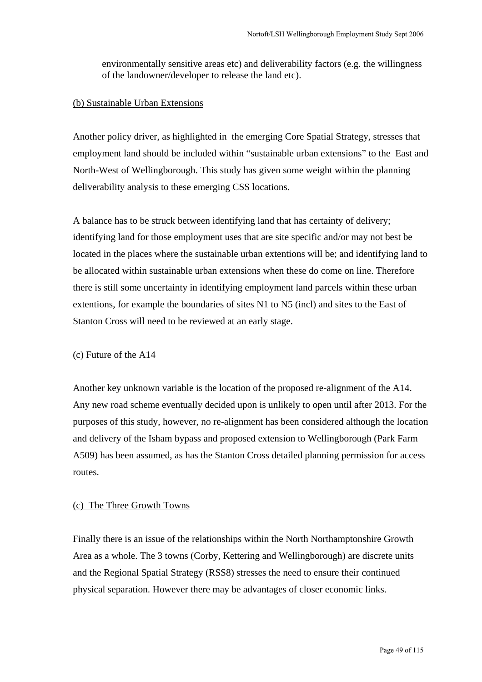environmentally sensitive areas etc) and deliverability factors (e.g. the willingness of the landowner/developer to release the land etc).

#### (b) Sustainable Urban Extensions

Another policy driver, as highlighted in the emerging Core Spatial Strategy, stresses that employment land should be included within "sustainable urban extensions" to the East and North-West of Wellingborough. This study has given some weight within the planning deliverability analysis to these emerging CSS locations.

A balance has to be struck between identifying land that has certainty of delivery; identifying land for those employment uses that are site specific and/or may not best be located in the places where the sustainable urban extentions will be; and identifying land to be allocated within sustainable urban extensions when these do come on line. Therefore there is still some uncertainty in identifying employment land parcels within these urban extentions, for example the boundaries of sites N1 to N5 (incl) and sites to the East of Stanton Cross will need to be reviewed at an early stage.

## (c) Future of the A14

Another key unknown variable is the location of the proposed re-alignment of the A14. Any new road scheme eventually decided upon is unlikely to open until after 2013. For the purposes of this study, however, no re-alignment has been considered although the location and delivery of the Isham bypass and proposed extension to Wellingborough (Park Farm A509) has been assumed, as has the Stanton Cross detailed planning permission for access routes.

#### (c) The Three Growth Towns

Finally there is an issue of the relationships within the North Northamptonshire Growth Area as a whole. The 3 towns (Corby, Kettering and Wellingborough) are discrete units and the Regional Spatial Strategy (RSS8) stresses the need to ensure their continued physical separation. However there may be advantages of closer economic links.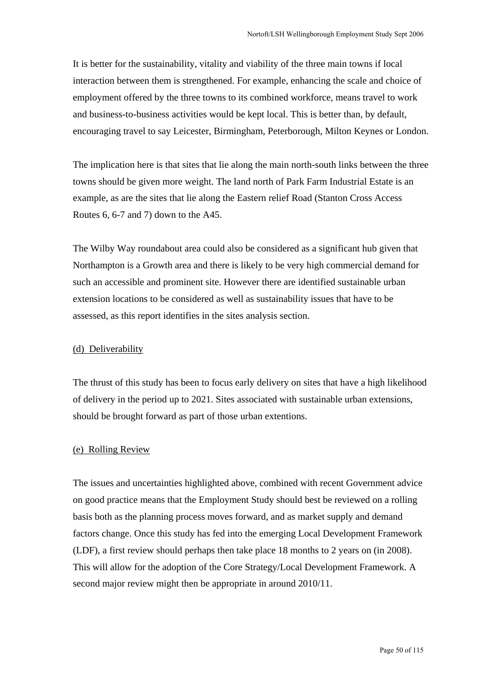It is better for the sustainability, vitality and viability of the three main towns if local interaction between them is strengthened. For example, enhancing the scale and choice of employment offered by the three towns to its combined workforce, means travel to work and business-to-business activities would be kept local. This is better than, by default, encouraging travel to say Leicester, Birmingham, Peterborough, Milton Keynes or London.

The implication here is that sites that lie along the main north-south links between the three towns should be given more weight. The land north of Park Farm Industrial Estate is an example, as are the sites that lie along the Eastern relief Road (Stanton Cross Access Routes 6, 6-7 and 7) down to the A45.

The Wilby Way roundabout area could also be considered as a significant hub given that Northampton is a Growth area and there is likely to be very high commercial demand for such an accessible and prominent site. However there are identified sustainable urban extension locations to be considered as well as sustainability issues that have to be assessed, as this report identifies in the sites analysis section.

#### (d) Deliverability

The thrust of this study has been to focus early delivery on sites that have a high likelihood of delivery in the period up to 2021. Sites associated with sustainable urban extensions, should be brought forward as part of those urban extentions.

#### (e) Rolling Review

The issues and uncertainties highlighted above, combined with recent Government advice on good practice means that the Employment Study should best be reviewed on a rolling basis both as the planning process moves forward, and as market supply and demand factors change. Once this study has fed into the emerging Local Development Framework (LDF), a first review should perhaps then take place 18 months to 2 years on (in 2008). This will allow for the adoption of the Core Strategy/Local Development Framework. A second major review might then be appropriate in around 2010/11.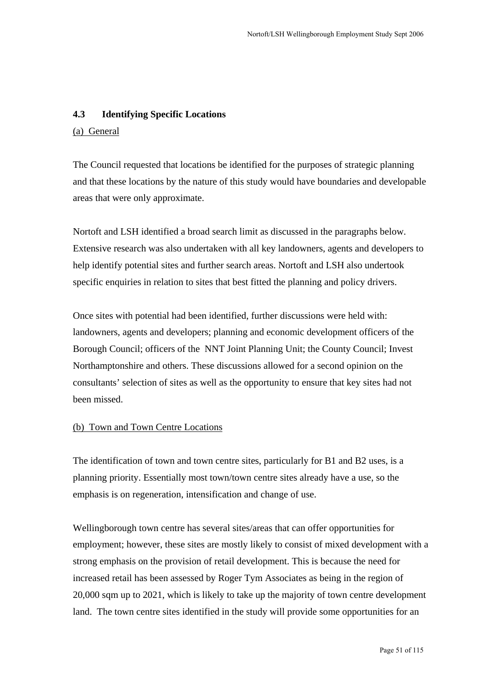## **4.3 Identifying Specific Locations**

## (a) General

The Council requested that locations be identified for the purposes of strategic planning and that these locations by the nature of this study would have boundaries and developable areas that were only approximate.

Nortoft and LSH identified a broad search limit as discussed in the paragraphs below. Extensive research was also undertaken with all key landowners, agents and developers to help identify potential sites and further search areas. Nortoft and LSH also undertook specific enquiries in relation to sites that best fitted the planning and policy drivers.

Once sites with potential had been identified, further discussions were held with: landowners, agents and developers; planning and economic development officers of the Borough Council; officers of the NNT Joint Planning Unit; the County Council; Invest Northamptonshire and others. These discussions allowed for a second opinion on the consultants' selection of sites as well as the opportunity to ensure that key sites had not been missed.

## (b) Town and Town Centre Locations

The identification of town and town centre sites, particularly for B1 and B2 uses, is a planning priority. Essentially most town/town centre sites already have a use, so the emphasis is on regeneration, intensification and change of use.

Wellingborough town centre has several sites/areas that can offer opportunities for employment; however, these sites are mostly likely to consist of mixed development with a strong emphasis on the provision of retail development. This is because the need for increased retail has been assessed by Roger Tym Associates as being in the region of 20,000 sqm up to 2021, which is likely to take up the majority of town centre development land. The town centre sites identified in the study will provide some opportunities for an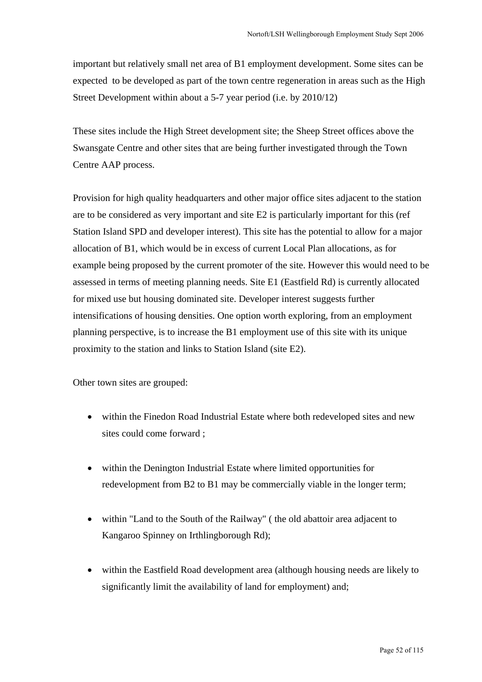important but relatively small net area of B1 employment development. Some sites can be expected to be developed as part of the town centre regeneration in areas such as the High Street Development within about a 5-7 year period (i.e. by 2010/12)

These sites include the High Street development site; the Sheep Street offices above the Swansgate Centre and other sites that are being further investigated through the Town Centre AAP process.

Provision for high quality headquarters and other major office sites adjacent to the station are to be considered as very important and site E2 is particularly important for this (ref Station Island SPD and developer interest). This site has the potential to allow for a major allocation of B1, which would be in excess of current Local Plan allocations, as for example being proposed by the current promoter of the site. However this would need to be assessed in terms of meeting planning needs. Site E1 (Eastfield Rd) is currently allocated for mixed use but housing dominated site. Developer interest suggests further intensifications of housing densities. One option worth exploring, from an employment planning perspective, is to increase the B1 employment use of this site with its unique proximity to the station and links to Station Island (site E2).

Other town sites are grouped:

- within the Finedon Road Industrial Estate where both redeveloped sites and new sites could come forward ;
- within the Denington Industrial Estate where limited opportunities for redevelopment from B2 to B1 may be commercially viable in the longer term;
- within "Land to the South of the Railway" (the old abattoir area adjacent to Kangaroo Spinney on Irthlingborough Rd);
- within the Eastfield Road development area (although housing needs are likely to significantly limit the availability of land for employment) and;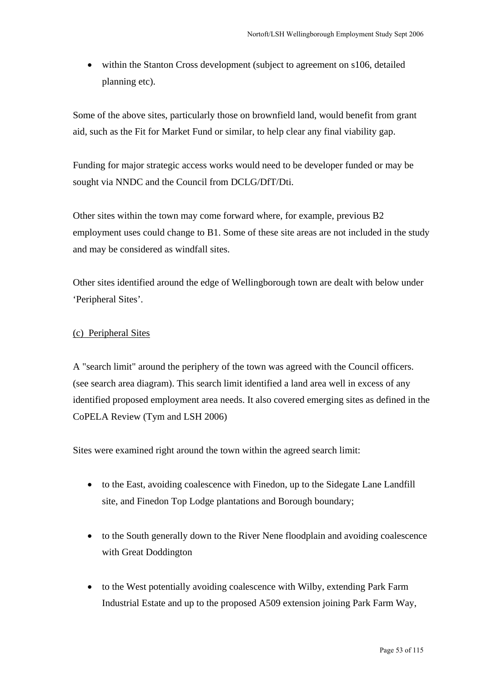• within the Stanton Cross development (subject to agreement on s106, detailed planning etc).

Some of the above sites, particularly those on brownfield land, would benefit from grant aid, such as the Fit for Market Fund or similar, to help clear any final viability gap.

Funding for major strategic access works would need to be developer funded or may be sought via NNDC and the Council from DCLG/DfT/Dti.

Other sites within the town may come forward where, for example, previous B2 employment uses could change to B1. Some of these site areas are not included in the study and may be considered as windfall sites.

Other sites identified around the edge of Wellingborough town are dealt with below under 'Peripheral Sites'.

## (c) Peripheral Sites

A "search limit" around the periphery of the town was agreed with the Council officers. (see search area diagram). This search limit identified a land area well in excess of any identified proposed employment area needs. It also covered emerging sites as defined in the CoPELA Review (Tym and LSH 2006)

Sites were examined right around the town within the agreed search limit:

- to the East, avoiding coalescence with Finedon, up to the Sidegate Lane Landfill site, and Finedon Top Lodge plantations and Borough boundary;
- to the South generally down to the River Nene floodplain and avoiding coalescence with Great Doddington
- to the West potentially avoiding coalescence with Wilby, extending Park Farm Industrial Estate and up to the proposed A509 extension joining Park Farm Way,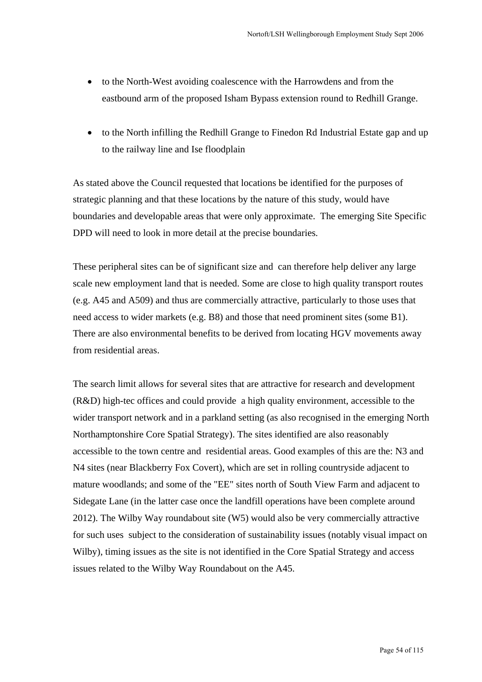- to the North-West avoiding coalescence with the Harrowdens and from the eastbound arm of the proposed Isham Bypass extension round to Redhill Grange.
- to the North infilling the Redhill Grange to Finedon Rd Industrial Estate gap and up to the railway line and Ise floodplain

As stated above the Council requested that locations be identified for the purposes of strategic planning and that these locations by the nature of this study, would have boundaries and developable areas that were only approximate. The emerging Site Specific DPD will need to look in more detail at the precise boundaries.

These peripheral sites can be of significant size and can therefore help deliver any large scale new employment land that is needed. Some are close to high quality transport routes (e.g. A45 and A509) and thus are commercially attractive, particularly to those uses that need access to wider markets (e.g. B8) and those that need prominent sites (some B1). There are also environmental benefits to be derived from locating HGV movements away from residential areas.

The search limit allows for several sites that are attractive for research and development (R&D) high-tec offices and could provide a high quality environment, accessible to the wider transport network and in a parkland setting (as also recognised in the emerging North Northamptonshire Core Spatial Strategy). The sites identified are also reasonably accessible to the town centre and residential areas. Good examples of this are the: N3 and N4 sites (near Blackberry Fox Covert), which are set in rolling countryside adjacent to mature woodlands; and some of the "EE" sites north of South View Farm and adjacent to Sidegate Lane (in the latter case once the landfill operations have been complete around 2012). The Wilby Way roundabout site (W5) would also be very commercially attractive for such uses subject to the consideration of sustainability issues (notably visual impact on Wilby), timing issues as the site is not identified in the Core Spatial Strategy and access issues related to the Wilby Way Roundabout on the A45.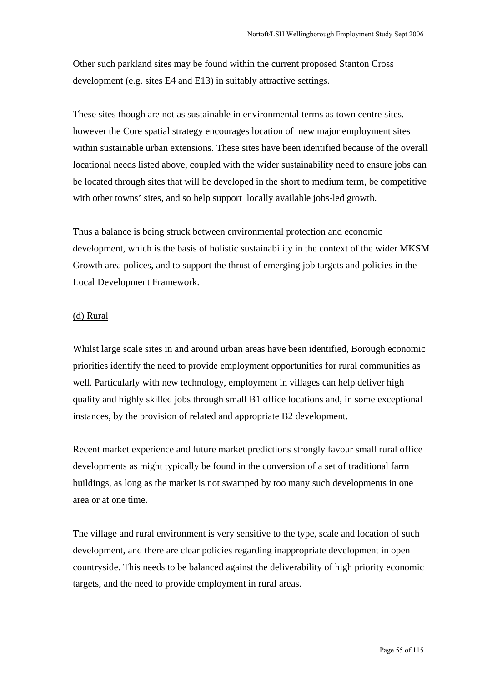Other such parkland sites may be found within the current proposed Stanton Cross development (e.g. sites E4 and E13) in suitably attractive settings.

These sites though are not as sustainable in environmental terms as town centre sites. however the Core spatial strategy encourages location of new major employment sites within sustainable urban extensions. These sites have been identified because of the overall locational needs listed above, coupled with the wider sustainability need to ensure jobs can be located through sites that will be developed in the short to medium term, be competitive with other towns' sites, and so help support locally available jobs-led growth.

Thus a balance is being struck between environmental protection and economic development, which is the basis of holistic sustainability in the context of the wider MKSM Growth area polices, and to support the thrust of emerging job targets and policies in the Local Development Framework.

#### (d) Rural

Whilst large scale sites in and around urban areas have been identified, Borough economic priorities identify the need to provide employment opportunities for rural communities as well. Particularly with new technology, employment in villages can help deliver high quality and highly skilled jobs through small B1 office locations and, in some exceptional instances, by the provision of related and appropriate B2 development.

Recent market experience and future market predictions strongly favour small rural office developments as might typically be found in the conversion of a set of traditional farm buildings, as long as the market is not swamped by too many such developments in one area or at one time.

The village and rural environment is very sensitive to the type, scale and location of such development, and there are clear policies regarding inappropriate development in open countryside. This needs to be balanced against the deliverability of high priority economic targets, and the need to provide employment in rural areas.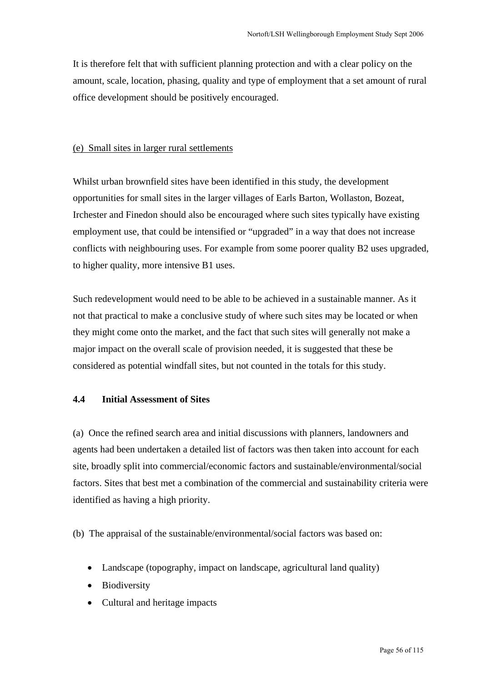It is therefore felt that with sufficient planning protection and with a clear policy on the amount, scale, location, phasing, quality and type of employment that a set amount of rural office development should be positively encouraged.

#### (e) Small sites in larger rural settlements

Whilst urban brownfield sites have been identified in this study, the development opportunities for small sites in the larger villages of Earls Barton, Wollaston, Bozeat, Irchester and Finedon should also be encouraged where such sites typically have existing employment use, that could be intensified or "upgraded" in a way that does not increase conflicts with neighbouring uses. For example from some poorer quality B2 uses upgraded, to higher quality, more intensive B1 uses.

Such redevelopment would need to be able to be achieved in a sustainable manner. As it not that practical to make a conclusive study of where such sites may be located or when they might come onto the market, and the fact that such sites will generally not make a major impact on the overall scale of provision needed, it is suggested that these be considered as potential windfall sites, but not counted in the totals for this study.

## **4.4 Initial Assessment of Sites**

(a) Once the refined search area and initial discussions with planners, landowners and agents had been undertaken a detailed list of factors was then taken into account for each site, broadly split into commercial/economic factors and sustainable/environmental/social factors. Sites that best met a combination of the commercial and sustainability criteria were identified as having a high priority.

(b) The appraisal of the sustainable/environmental/social factors was based on:

- Landscape (topography, impact on landscape, agricultural land quality)
- Biodiversity
- Cultural and heritage impacts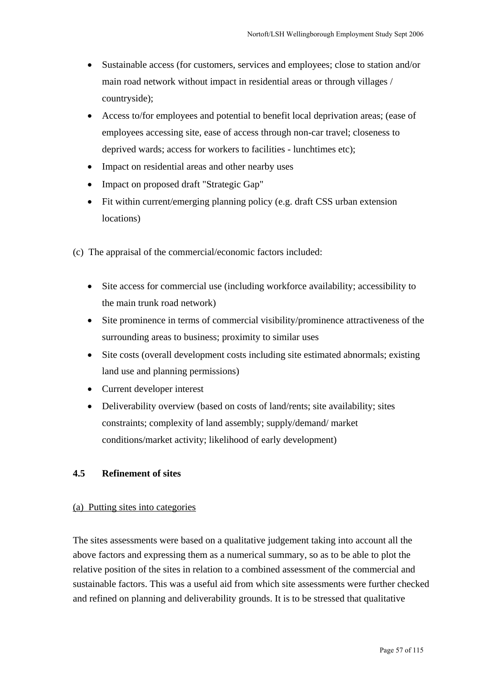- Sustainable access (for customers, services and employees; close to station and/or main road network without impact in residential areas or through villages / countryside);
- Access to/for employees and potential to benefit local deprivation areas; (ease of employees accessing site, ease of access through non-car travel; closeness to deprived wards; access for workers to facilities - lunchtimes etc);
- Impact on residential areas and other nearby uses
- Impact on proposed draft "Strategic Gap"
- Fit within current/emerging planning policy (e.g. draft CSS urban extension locations)
- (c) The appraisal of the commercial/economic factors included:
	- Site access for commercial use (including workforce availability; accessibility to the main trunk road network)
	- Site prominence in terms of commercial visibility/prominence attractiveness of the surrounding areas to business; proximity to similar uses
	- Site costs (overall development costs including site estimated abnormals; existing land use and planning permissions)
	- Current developer interest
	- Deliverability overview (based on costs of land/rents; site availability; sites constraints; complexity of land assembly; supply/demand/ market conditions/market activity; likelihood of early development)

## **4.5 Refinement of sites**

#### (a) Putting sites into categories

The sites assessments were based on a qualitative judgement taking into account all the above factors and expressing them as a numerical summary, so as to be able to plot the relative position of the sites in relation to a combined assessment of the commercial and sustainable factors. This was a useful aid from which site assessments were further checked and refined on planning and deliverability grounds. It is to be stressed that qualitative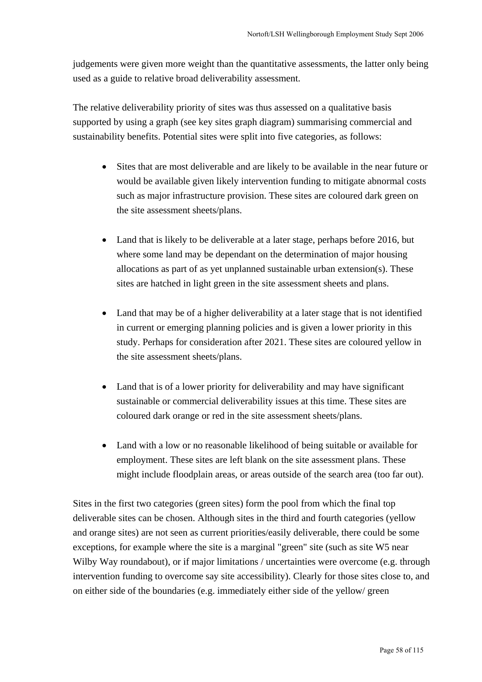judgements were given more weight than the quantitative assessments, the latter only being used as a guide to relative broad deliverability assessment.

The relative deliverability priority of sites was thus assessed on a qualitative basis supported by using a graph (see key sites graph diagram) summarising commercial and sustainability benefits. Potential sites were split into five categories, as follows:

- Sites that are most deliverable and are likely to be available in the near future or would be available given likely intervention funding to mitigate abnormal costs such as major infrastructure provision. These sites are coloured dark green on the site assessment sheets/plans.
- Land that is likely to be deliverable at a later stage, perhaps before 2016, but where some land may be dependant on the determination of major housing allocations as part of as yet unplanned sustainable urban extension(s). These sites are hatched in light green in the site assessment sheets and plans.
- Land that may be of a higher deliverability at a later stage that is not identified in current or emerging planning policies and is given a lower priority in this study. Perhaps for consideration after 2021. These sites are coloured yellow in the site assessment sheets/plans.
- Land that is of a lower priority for deliverability and may have significant sustainable or commercial deliverability issues at this time. These sites are coloured dark orange or red in the site assessment sheets/plans.
- Land with a low or no reasonable likelihood of being suitable or available for employment. These sites are left blank on the site assessment plans. These might include floodplain areas, or areas outside of the search area (too far out).

Sites in the first two categories (green sites) form the pool from which the final top deliverable sites can be chosen. Although sites in the third and fourth categories (yellow and orange sites) are not seen as current priorities/easily deliverable, there could be some exceptions, for example where the site is a marginal "green" site (such as site W5 near Wilby Way roundabout), or if major limitations / uncertainties were overcome (e.g. through intervention funding to overcome say site accessibility). Clearly for those sites close to, and on either side of the boundaries (e.g. immediately either side of the yellow/ green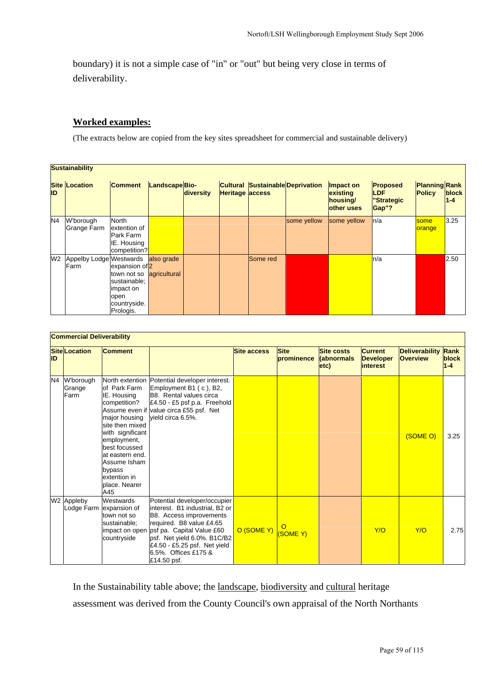boundary) it is not a simple case of "in" or "out" but being very close in terms of deliverability.

#### **Worked examples:**

(The extracts below are copied from the key sites spreadsheet for commercial and sustainable delivery)

| <b>Sustainability</b> |                                 |                                                                                                              |               |           |                        |          |                                         |                                                 |                                                       |                                       |                  |
|-----------------------|---------------------------------|--------------------------------------------------------------------------------------------------------------|---------------|-----------|------------------------|----------|-----------------------------------------|-------------------------------------------------|-------------------------------------------------------|---------------------------------------|------------------|
| <b>ID</b>             | <b>Site Location</b>            | <b>Comment</b>                                                                                               | LandscapeBio- | diversity | <b>Heritage access</b> |          | <b>Cultural Sustainable Deprivation</b> | Impact on<br>existing<br>housing/<br>other uses | <b>Proposed</b><br><b>ILDF</b><br>"Strategic<br>Gap"? | <b>Planning Rank</b><br><b>Policy</b> | block<br>$1 - 4$ |
| N <sub>4</sub>        | W'borough<br>Grange Farm        | <b>North</b><br>extention of<br>Park Farm<br>IE. Housing<br>competition?                                     |               |           |                        |          | some yellow                             | some yellow                                     | ln/a                                                  | some<br>orange                        | 3.25             |
| W <sub>2</sub>        | Appelby Lodge Westwards<br>Farm | expansion of 2<br>town not so agricultural<br>sustainable:<br>impact on<br>open<br>countryside.<br>Prologis. | also grade    |           |                        | Some red |                                         |                                                 | n/a                                                   |                                       | 2.50             |

| <b>Commercial Deliverability</b> |                             |                                                                                                                                                                                                                          |                                                                                                                                                                                                                                                                         |                    |                           |                                                |                                                       |                                          |                          |  |
|----------------------------------|-----------------------------|--------------------------------------------------------------------------------------------------------------------------------------------------------------------------------------------------------------------------|-------------------------------------------------------------------------------------------------------------------------------------------------------------------------------------------------------------------------------------------------------------------------|--------------------|---------------------------|------------------------------------------------|-------------------------------------------------------|------------------------------------------|--------------------------|--|
| ID                               | <b>Site Location</b>        | <b>Comment</b>                                                                                                                                                                                                           |                                                                                                                                                                                                                                                                         | <b>Site access</b> | <b>Site</b><br>prominence | <b>Site costs</b><br><b>(abnormals</b><br>etc) | <b>Current</b><br><b>Developer</b><br><i>interest</i> | <b>Deliverability</b><br><b>Overview</b> | Rank<br>block<br>$1 - 4$ |  |
| N4                               | W'borough<br>Grange<br>Farm | of Park Farm<br>IE. Housing<br>competition?<br>major housing<br>site then mixed<br>with significant<br>employment,<br>best focussed<br>at eastern end.<br>Assume Isham<br>bypass<br>extention in<br>place. Nearer<br>A45 | North extention Potential developer interest.<br>Employment B1 (c), B2,<br>B8. Rental values circa<br>£4.50 - £5 psf p.a. Freehold<br>Assume even if value circa £55 psf. Net<br>vield circa 6.5%.                                                                      |                    |                           |                                                |                                                       | (SOME O)                                 | 3.25                     |  |
|                                  | W2 Appleby                  | Westwards<br>Lodge Farm lexpansion of<br>town not so<br>sustainable;<br>countryside                                                                                                                                      | Potential developer/occupier<br>interest. B1 industrial, B2 or<br>B8. Access improvements<br>required. B8 value £4.65<br>impact on open psf pa. Capital Value £60<br>psf. Net yield 6.0%. B1C/B2<br>£4.50 - £5.25 psf. Net yield<br>6.5%. Offices £175 &<br>£14.50 psf. | O (SOME Y)         | $\circ$<br>(SOME Y)       |                                                | Y/O                                                   | Y/O                                      | 2.75                     |  |

In the Sustainability table above; the landscape, biodiversity and cultural heritage assessment was derived from the County Council's own appraisal of the North Northants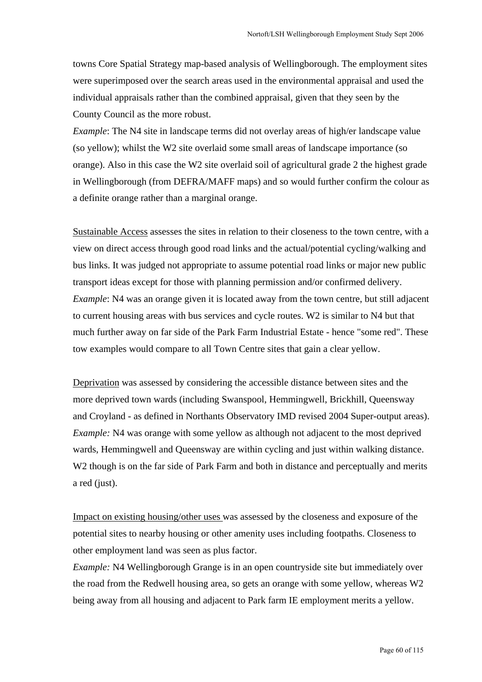towns Core Spatial Strategy map-based analysis of Wellingborough. The employment sites were superimposed over the search areas used in the environmental appraisal and used the individual appraisals rather than the combined appraisal, given that they seen by the County Council as the more robust.

*Example*: The N4 site in landscape terms did not overlay areas of high/er landscape value (so yellow); whilst the W2 site overlaid some small areas of landscape importance (so orange). Also in this case the W2 site overlaid soil of agricultural grade 2 the highest grade in Wellingborough (from DEFRA/MAFF maps) and so would further confirm the colour as a definite orange rather than a marginal orange.

Sustainable Access assesses the sites in relation to their closeness to the town centre, with a view on direct access through good road links and the actual/potential cycling/walking and bus links. It was judged not appropriate to assume potential road links or major new public transport ideas except for those with planning permission and/or confirmed delivery. *Example*: N4 was an orange given it is located away from the town centre, but still adjacent to current housing areas with bus services and cycle routes. W2 is similar to N4 but that much further away on far side of the Park Farm Industrial Estate - hence "some red". These tow examples would compare to all Town Centre sites that gain a clear yellow.

Deprivation was assessed by considering the accessible distance between sites and the more deprived town wards (including Swanspool, Hemmingwell, Brickhill, Queensway and Croyland - as defined in Northants Observatory IMD revised 2004 Super-output areas). *Example:* N4 was orange with some yellow as although not adjacent to the most deprived wards, Hemmingwell and Queensway are within cycling and just within walking distance. W<sub>2</sub> though is on the far side of Park Farm and both in distance and perceptually and merits a red (just).

Impact on existing housing/other uses was assessed by the closeness and exposure of the potential sites to nearby housing or other amenity uses including footpaths. Closeness to other employment land was seen as plus factor.

*Example:* N4 Wellingborough Grange is in an open countryside site but immediately over the road from the Redwell housing area, so gets an orange with some yellow, whereas W2 being away from all housing and adjacent to Park farm IE employment merits a yellow.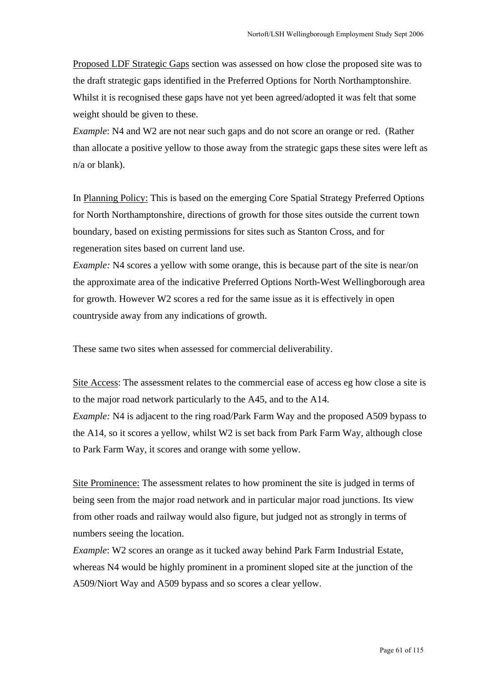Proposed LDF Strategic Gaps section was assessed on how close the proposed site was to the draft strategic gaps identified in the Preferred Options for North Northamptonshire. Whilst it is recognised these gaps have not yet been agreed/adopted it was felt that some weight should be given to these.

*Example*: N4 and W2 are not near such gaps and do not score an orange or red. (Rather than allocate a positive yellow to those away from the strategic gaps these sites were left as n/a or blank).

In Planning Policy: This is based on the emerging Core Spatial Strategy Preferred Options for North Northamptonshire, directions of growth for those sites outside the current town boundary, based on existing permissions for sites such as Stanton Cross, and for regeneration sites based on current land use.

*Example:* N4 scores a yellow with some orange, this is because part of the site is near/on the approximate area of the indicative Preferred Options North-West Wellingborough area for growth. However W2 scores a red for the same issue as it is effectively in open countryside away from any indications of growth.

These same two sites when assessed for commercial deliverability.

to Park Farm Way, it scores and orange with some yellow.

Site Access: The assessment relates to the commercial ease of access eg how close a site is to the major road network particularly to the A45, and to the A14. *Example:* N4 is adjacent to the ring road/Park Farm Way and the proposed A509 bypass to the A14, so it scores a yellow, whilst W2 is set back from Park Farm Way, although close

Site Prominence: The assessment relates to how prominent the site is judged in terms of being seen from the major road network and in particular major road junctions. Its view from other roads and railway would also figure, but judged not as strongly in terms of numbers seeing the location.

*Example*: W2 scores an orange as it tucked away behind Park Farm Industrial Estate, whereas N4 would be highly prominent in a prominent sloped site at the junction of the A509/Niort Way and A509 bypass and so scores a clear yellow.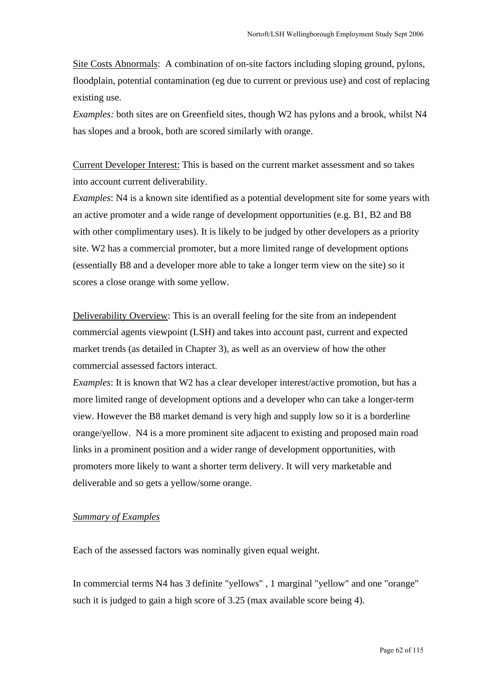Site Costs Abnormals: A combination of on-site factors including sloping ground, pylons, floodplain, potential contamination (eg due to current or previous use) and cost of replacing existing use.

*Examples:* both sites are on Greenfield sites, though W2 has pylons and a brook, whilst N4 has slopes and a brook, both are scored similarly with orange.

Current Developer Interest: This is based on the current market assessment and so takes into account current deliverability.

*Examples*: N4 is a known site identified as a potential development site for some years with an active promoter and a wide range of development opportunities (e.g. B1, B2 and B8 with other complimentary uses). It is likely to be judged by other developers as a priority site. W2 has a commercial promoter, but a more limited range of development options (essentially B8 and a developer more able to take a longer term view on the site) so it scores a close orange with some yellow.

Deliverability Overview: This is an overall feeling for the site from an independent commercial agents viewpoint (LSH) and takes into account past, current and expected market trends (as detailed in Chapter 3), as well as an overview of how the other commercial assessed factors interact.

*Examples*: It is known that W2 has a clear developer interest/active promotion, but has a more limited range of development options and a developer who can take a longer-term view. However the B8 market demand is very high and supply low so it is a borderline orange/yellow. N4 is a more prominent site adjacent to existing and proposed main road links in a prominent position and a wider range of development opportunities, with promoters more likely to want a shorter term delivery. It will very marketable and deliverable and so gets a yellow/some orange.

## *Summary of Examples*

Each of the assessed factors was nominally given equal weight.

In commercial terms N4 has 3 definite "yellows" , 1 marginal "yellow" and one "orange" such it is judged to gain a high score of 3.25 (max available score being 4).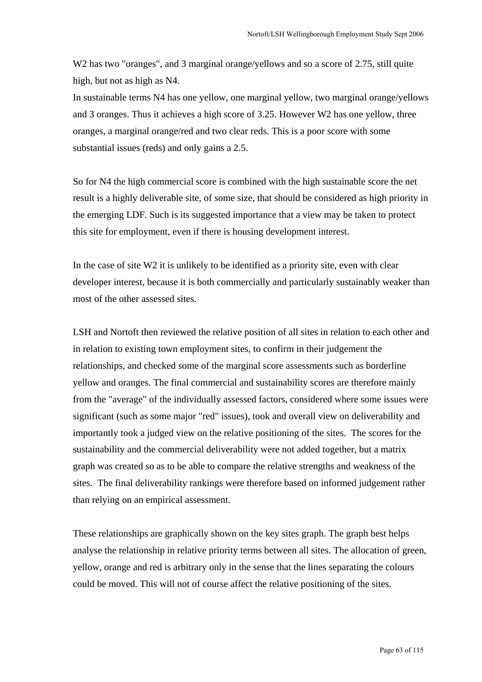W<sub>2</sub> has two "oranges", and 3 marginal orange/yellows and so a score of 2.75, still quite high, but not as high as N4.

In sustainable terms N4 has one yellow, one marginal yellow, two marginal orange/yellows and 3 oranges. Thus it achieves a high score of 3.25. However W2 has one yellow, three oranges, a marginal orange/red and two clear reds. This is a poor score with some substantial issues (reds) and only gains a 2.5.

So for N4 the high commercial score is combined with the high sustainable score the net result is a highly deliverable site, of some size, that should be considered as high priority in the emerging LDF. Such is its suggested importance that a view may be taken to protect this site for employment, even if there is housing development interest.

In the case of site W2 it is unlikely to be identified as a priority site, even with clear developer interest, because it is both commercially and particularly sustainably weaker than most of the other assessed sites.

LSH and Nortoft then reviewed the relative position of all sites in relation to each other and in relation to existing town employment sites, to confirm in their judgement the relationships, and checked some of the marginal score assessments such as borderline yellow and oranges. The final commercial and sustainability scores are therefore mainly from the "average" of the individually assessed factors, considered where some issues were significant (such as some major "red" issues), took and overall view on deliverability and importantly took a judged view on the relative positioning of the sites. The scores for the sustainability and the commercial deliverability were not added together, but a matrix graph was created so as to be able to compare the relative strengths and weakness of the sites. The final deliverability rankings were therefore based on informed judgement rather than relying on an empirical assessment.

These relationships are graphically shown on the key sites graph. The graph best helps analyse the relationship in relative priority terms between all sites. The allocation of green, yellow, orange and red is arbitrary only in the sense that the lines separating the colours could be moved. This will not of course affect the relative positioning of the sites.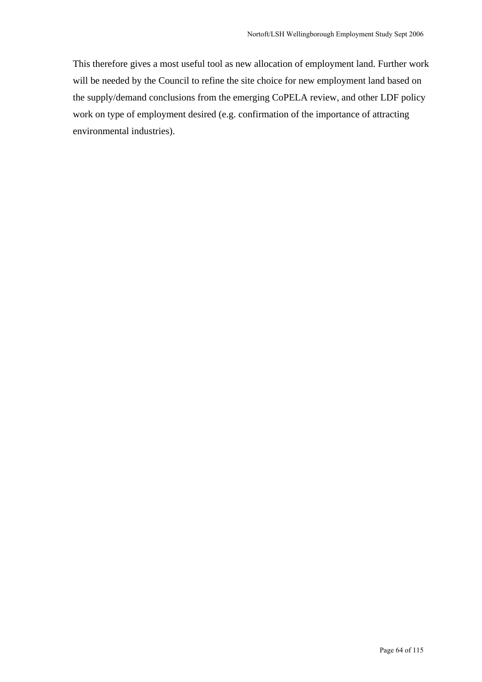This therefore gives a most useful tool as new allocation of employment land. Further work will be needed by the Council to refine the site choice for new employment land based on the supply/demand conclusions from the emerging CoPELA review, and other LDF policy work on type of employment desired (e.g. confirmation of the importance of attracting environmental industries).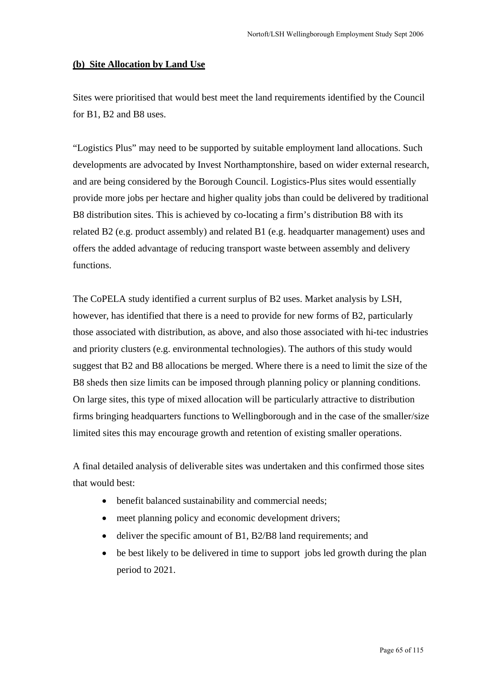## **(b) Site Allocation by Land Use**

Sites were prioritised that would best meet the land requirements identified by the Council for B1, B2 and B8 uses.

"Logistics Plus" may need to be supported by suitable employment land allocations. Such developments are advocated by Invest Northamptonshire, based on wider external research, and are being considered by the Borough Council. Logistics-Plus sites would essentially provide more jobs per hectare and higher quality jobs than could be delivered by traditional B8 distribution sites. This is achieved by co-locating a firm's distribution B8 with its related B2 (e.g. product assembly) and related B1 (e.g. headquarter management) uses and offers the added advantage of reducing transport waste between assembly and delivery functions.

The CoPELA study identified a current surplus of B2 uses. Market analysis by LSH, however, has identified that there is a need to provide for new forms of B2, particularly those associated with distribution, as above, and also those associated with hi-tec industries and priority clusters (e.g. environmental technologies). The authors of this study would suggest that B2 and B8 allocations be merged. Where there is a need to limit the size of the B8 sheds then size limits can be imposed through planning policy or planning conditions. On large sites, this type of mixed allocation will be particularly attractive to distribution firms bringing headquarters functions to Wellingborough and in the case of the smaller/size limited sites this may encourage growth and retention of existing smaller operations.

A final detailed analysis of deliverable sites was undertaken and this confirmed those sites that would best:

- benefit balanced sustainability and commercial needs;
- meet planning policy and economic development drivers;
- deliver the specific amount of B1, B2/B8 land requirements; and
- be best likely to be delivered in time to support jobs led growth during the plan period to 2021.